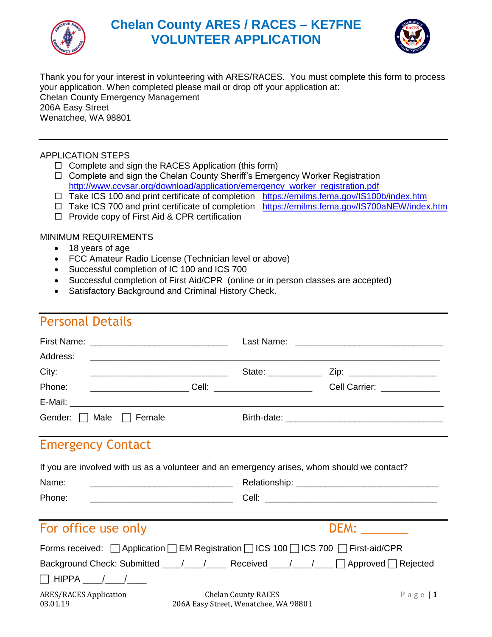

# **Chelan County ARES / RACES – KE7FNE VOLUNTEER APPLICATION**



Thank you for your interest in volunteering with ARES/RACES. You must complete this form to process your application. When completed please mail or drop off your application at: Chelan County Emergency Management 206A Easy Street Wenatchee, WA 98801

### APPLICATION STEPS

- $\Box$  Complete and sign the RACES Application (this form)
- □ Complete and sign the Chelan County Sheriff's Emergency Worker Registration [http://www.ccvsar.org/download/application/emergency\\_worker\\_registration.pdf](http://www.ccvsar.org/download/application/emergency_worker_registration.pdf)
- □ Take ICS 100 and print certificate of completion <https://emilms.fema.gov/IS100b/index.htm>
- □ Take ICS 700 and print certificate of completion <https://emilms.fema.gov/IS700aNEW/index.htm>
- $\Box$  Provide copy of First Aid & CPR certification

#### MINIMUM REQUIREMENTS

- 18 years of age
- FCC Amateur Radio License (Technician level or above)
- Successful completion of IC 100 and ICS 700
- Successful completion of First Aid/CPR (online or in person classes are accepted)
- Satisfactory Background and Criminal History Check.

## Personal Details

| Address:                                                                                                                                                                                                      |                                                                     | ,我们也不能在这里,我们的人们都不能在这里,我们也不能在这里的人们,我们也不能在这里的人们,我们也不能在这里的人们,我们也不能在这里的人们,我们也不能在这里的人        |  |
|---------------------------------------------------------------------------------------------------------------------------------------------------------------------------------------------------------------|---------------------------------------------------------------------|-----------------------------------------------------------------------------------------|--|
| City:<br><u> Alexandro de la contrada de la contrada de la contrada de la contrada de la contrada de la contrada de la con</u>                                                                                | State: _____________                                                | Zip: ____________________                                                               |  |
| Phone:                                                                                                                                                                                                        |                                                                     | _________________________Cell: ______________________________Cell Carrier: ____________ |  |
|                                                                                                                                                                                                               |                                                                     |                                                                                         |  |
| Gender: $\Box$ Male $\Box$ Female                                                                                                                                                                             |                                                                     |                                                                                         |  |
| <b>Emergency Contact</b><br>If you are involved with us as a volunteer and an emergency arises, whom should we contact?                                                                                       |                                                                     |                                                                                         |  |
| Name:                                                                                                                                                                                                         |                                                                     |                                                                                         |  |
| Phone:                                                                                                                                                                                                        |                                                                     |                                                                                         |  |
| For office use only                                                                                                                                                                                           |                                                                     | <b>DEM:</b>                                                                             |  |
| Forms received:<br><br><br><br>Application<br><br><br>EM Registration<br><br><br><br><br><br><br><br><br><br><br><br><br><br><br><br><br><br><br><br><br><br><br><br><br><br><br><br><br><br><br><br><br><br> |                                                                     |                                                                                         |  |
| Background Check: Submitted ___/___/_____ Received ___/___/____ ∏ Approved ∏ Rejected                                                                                                                         |                                                                     |                                                                                         |  |
| $\Box$ HIPPA ____/____/____                                                                                                                                                                                   |                                                                     |                                                                                         |  |
| <b>ARES/RACES Application</b><br>03.01.19                                                                                                                                                                     | <b>Chelan County RACES</b><br>206A Easy Street, Wenatchee, WA 98801 | Page $\vert$ 1                                                                          |  |